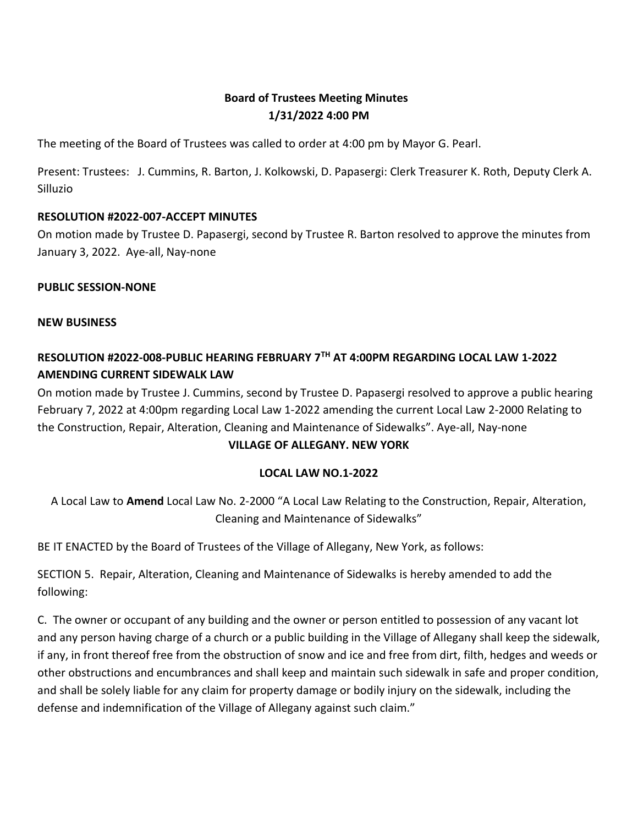# **Board of Trustees Meeting Minutes 1/31/2022 4:00 PM**

The meeting of the Board of Trustees was called to order at 4:00 pm by Mayor G. Pearl.

Present: Trustees: J. Cummins, R. Barton, J. Kolkowski, D. Papasergi: Clerk Treasurer K. Roth, Deputy Clerk A. Silluzio

#### **RESOLUTION #2022-007-ACCEPT MINUTES**

On motion made by Trustee D. Papasergi, second by Trustee R. Barton resolved to approve the minutes from January 3, 2022. Aye-all, Nay-none

#### **PUBLIC SESSION-NONE**

**NEW BUSINESS**

# **RESOLUTION #2022-008-PUBLIC HEARING FEBRUARY 7TH AT 4:00PM REGARDING LOCAL LAW 1-2022 AMENDING CURRENT SIDEWALK LAW**

On motion made by Trustee J. Cummins, second by Trustee D. Papasergi resolved to approve a public hearing February 7, 2022 at 4:00pm regarding Local Law 1-2022 amending the current Local Law 2-2000 Relating to the Construction, Repair, Alteration, Cleaning and Maintenance of Sidewalks". Aye-all, Nay-none **VILLAGE OF ALLEGANY. NEW YORK**

#### **LOCAL LAW NO.1-2022**

A Local Law to **Amend** Local Law No. 2-2000 "A Local Law Relating to the Construction, Repair, Alteration, Cleaning and Maintenance of Sidewalks"

BE IT ENACTED by the Board of Trustees of the Village of Allegany, New York, as follows:

SECTION 5. Repair, Alteration, Cleaning and Maintenance of Sidewalks is hereby amended to add the following:

C. The owner or occupant of any building and the owner or person entitled to possession of any vacant lot and any person having charge of a church or a public building in the Village of Allegany shall keep the sidewalk, if any, in front thereof free from the obstruction of snow and ice and free from dirt, filth, hedges and weeds or other obstructions and encumbrances and shall keep and maintain such sidewalk in safe and proper condition, and shall be solely liable for any claim for property damage or bodily injury on the sidewalk, including the defense and indemnification of the Village of Allegany against such claim."